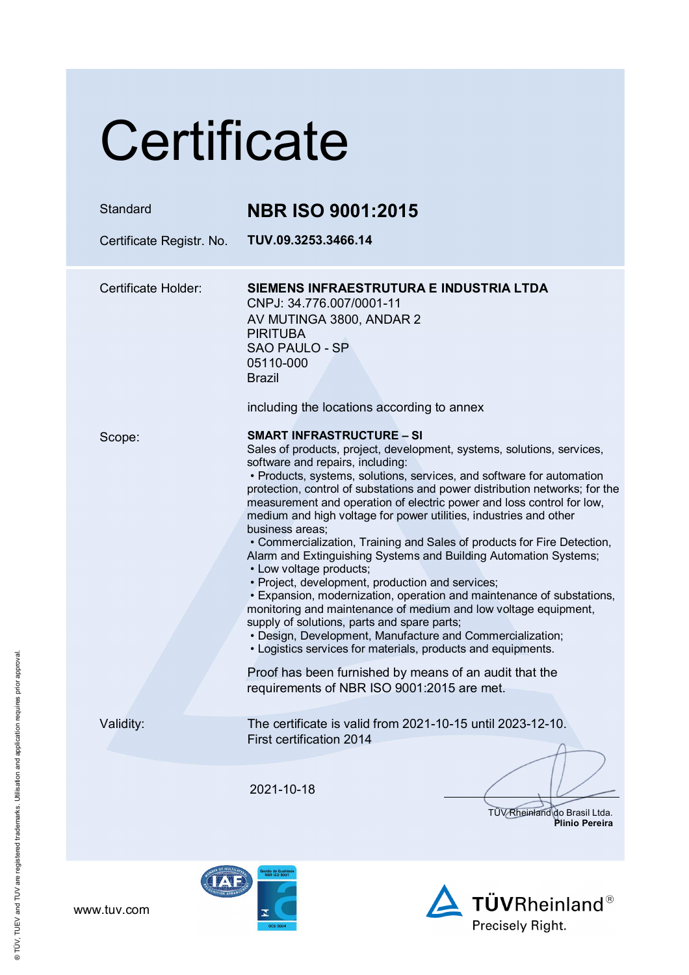# **Certificate**

| Standard<br>Certificate Registr. No. | <b>NBR ISO 9001:2015</b><br>TUV.09.3253.3466.14                                                                                                                                                                                                                                                                                                                                                                                                                                                                                                                                                                                                                                                                                                                                                                                                                                                                                                                                                                                                                                                                                       |
|--------------------------------------|---------------------------------------------------------------------------------------------------------------------------------------------------------------------------------------------------------------------------------------------------------------------------------------------------------------------------------------------------------------------------------------------------------------------------------------------------------------------------------------------------------------------------------------------------------------------------------------------------------------------------------------------------------------------------------------------------------------------------------------------------------------------------------------------------------------------------------------------------------------------------------------------------------------------------------------------------------------------------------------------------------------------------------------------------------------------------------------------------------------------------------------|
| Certificate Holder:                  | SIEMENS INFRAESTRUTURA E INDUSTRIA LTDA<br>CNPJ: 34.776.007/0001-11<br>AV MUTINGA 3800, ANDAR 2                                                                                                                                                                                                                                                                                                                                                                                                                                                                                                                                                                                                                                                                                                                                                                                                                                                                                                                                                                                                                                       |
|                                      | <b>PIRITUBA</b><br><b>SAO PAULO - SP</b><br>05110-000<br><b>Brazil</b><br>including the locations according to annex                                                                                                                                                                                                                                                                                                                                                                                                                                                                                                                                                                                                                                                                                                                                                                                                                                                                                                                                                                                                                  |
| Scope:                               | <b>SMART INFRASTRUCTURE – SI</b><br>Sales of products, project, development, systems, solutions, services,<br>software and repairs, including:<br>• Products, systems, solutions, services, and software for automation<br>protection, control of substations and power distribution networks; for the<br>measurement and operation of electric power and loss control for low,<br>medium and high voltage for power utilities, industries and other<br>business areas;<br>• Commercialization, Training and Sales of products for Fire Detection,<br>Alarm and Extinguishing Systems and Building Automation Systems;<br>• Low voltage products;<br>• Project, development, production and services;<br>• Expansion, modernization, operation and maintenance of substations,<br>monitoring and maintenance of medium and low voltage equipment,<br>supply of solutions, parts and spare parts;<br>• Design, Development, Manufacture and Commercialization;<br>• Logistics services for materials, products and equipments.<br>Proof has been furnished by means of an audit that the<br>requirements of NBR ISO 9001:2015 are met. |
| Validity:                            | The certificate is valid from 2021-10-15 until 2023-12-10.<br>First certification 2014                                                                                                                                                                                                                                                                                                                                                                                                                                                                                                                                                                                                                                                                                                                                                                                                                                                                                                                                                                                                                                                |
|                                      | 2021-10-18<br>TÜV Rheinland do Brasil Ltda.<br>Plinio Pereira                                                                                                                                                                                                                                                                                                                                                                                                                                                                                                                                                                                                                                                                                                                                                                                                                                                                                                                                                                                                                                                                         |
|                                      |                                                                                                                                                                                                                                                                                                                                                                                                                                                                                                                                                                                                                                                                                                                                                                                                                                                                                                                                                                                                                                                                                                                                       |

**TÜVRheinland®** 

Precisely Right.

® TÜV, TUEV and TUV are registered trademarks. Utilisation and application requires prior approval. ® TÜV, TUEV and TUV are registered trademarks. Utilisation and application requires prior approval.

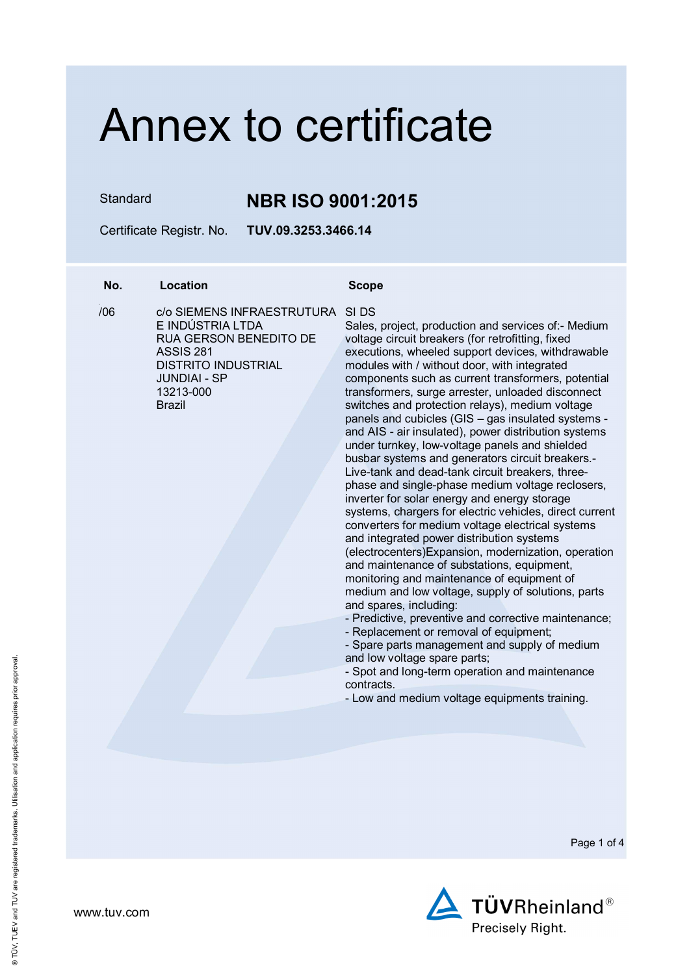Standard **NBR ISO 9001:2015**

Certificate Registr. No. **TUV.09.3253.3466.14** 

## **No. Location Scope**

 $106$ 

/06 c/o SIEMENS INFRAESTRUTURA SI DS E INDÚSTRIA LTDA RUA GERSON BENEDITO DE ASSIS 281 DISTRITO INDUSTRIAL JUNDIAI - SP 13213-000 Brazil

Sales, project, production and services of:- Medium voltage circuit breakers (for retrofitting, fixed executions, wheeled support devices, withdrawable modules with / without door, with integrated components such as current transformers, potential transformers, surge arrester, unloaded disconnect switches and protection relays), medium voltage panels and cubicles (GIS – gas insulated systems and AIS - air insulated), power distribution systems under turnkey, low-voltage panels and shielded busbar systems and generators circuit breakers.- Live-tank and dead-tank circuit breakers, threephase and single-phase medium voltage reclosers, inverter for solar energy and energy storage systems, chargers for electric vehicles, direct current converters for medium voltage electrical systems and integrated power distribution systems (electrocenters)Expansion, modernization, operation and maintenance of substations, equipment, monitoring and maintenance of equipment of medium and low voltage, supply of solutions, parts and spares, including:

- Predictive, preventive and corrective maintenance;

- Replacement or removal of equipment;

- Spare parts management and supply of medium and low voltage spare parts;

- Spot and long-term operation and maintenance contracts.

- Low and medium voltage equipments training.



www.tuv.com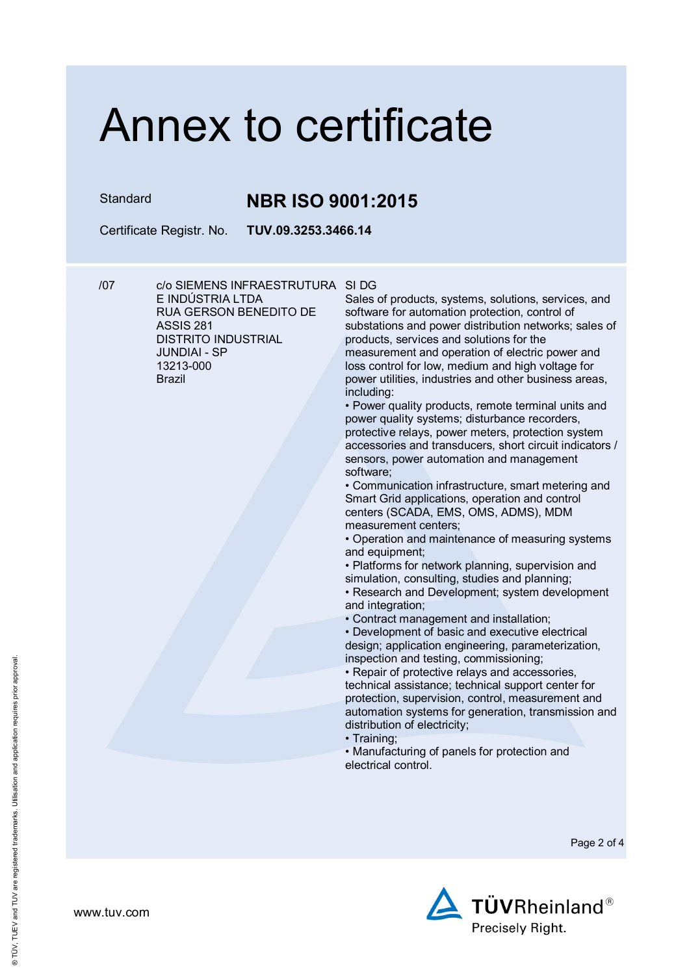## Standard **NBR ISO 9001:2015**

Certificate Registr. No. **TUV.09.3253.3466.14** 

/07 c/o SIEMENS INFRAESTRUTURA SI DG E INDÚSTRIA LTDA RUA GERSON BENEDITO DE ASSIS 281 DISTRITO INDUSTRIAL JUNDIAI - SP 13213-000 Brazil

Sales of products, systems, solutions, services, and software for automation protection, control of substations and power distribution networks; sales of products, services and solutions for the measurement and operation of electric power and loss control for low, medium and high voltage for power utilities, industries and other business areas, including:

• Power quality products, remote terminal units and power quality systems; disturbance recorders, protective relays, power meters, protection system accessories and transducers, short circuit indicators / sensors, power automation and management software;

• Communication infrastructure, smart metering and Smart Grid applications, operation and control centers (SCADA, EMS, OMS, ADMS), MDM measurement centers;

• Operation and maintenance of measuring systems and equipment;

• Platforms for network planning, supervision and simulation, consulting, studies and planning;

• Research and Development; system development and integration;

• Contract management and installation;

• Development of basic and executive electrical design; application engineering, parameterization, inspection and testing, commissioning;

• Repair of protective relays and accessories, technical assistance; technical support center for protection, supervision, control, measurement and automation systems for generation, transmission and distribution of electricity;

• Training;

• Manufacturing of panels for protection and electrical control.

Page 2 of 4



www.tuv.com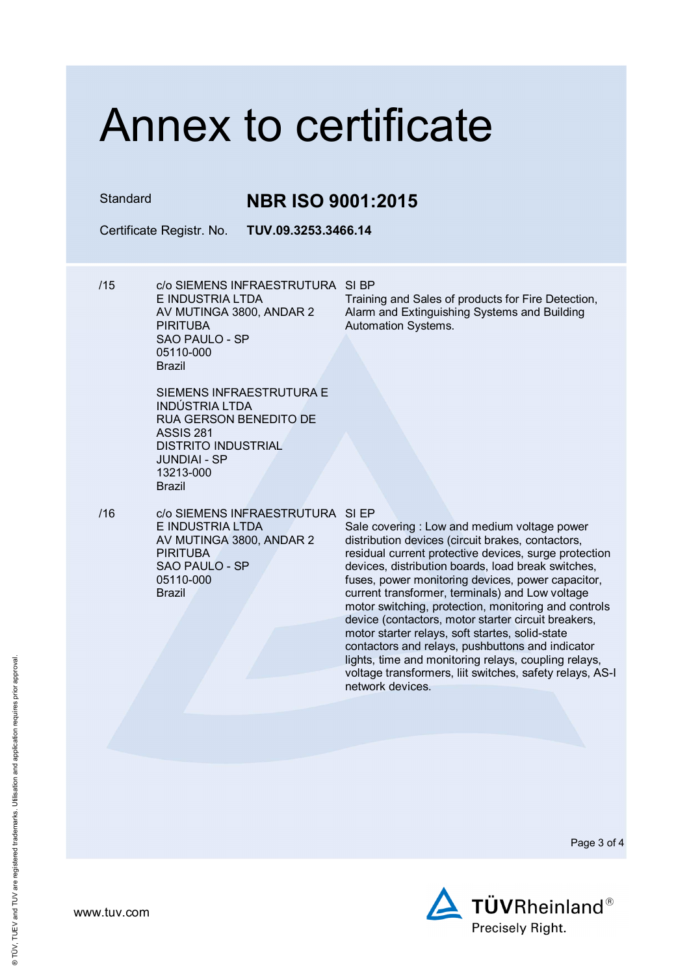Standard **NBR ISO 9001:2015**

Certificate Registr. No. **TUV.09.3253.3466.14** 

/15 c/o SIEMENS INFRAESTRUTURA SI BP E INDUSTRIA LTDA AV MUTINGA 3800, ANDAR 2 **PIRITURA** SAO PAULO - SP 05110-000 Brazil

Training and Sales of products for Fire Detection, Alarm and Extinguishing Systems and Building Automation Systems.

- SIEMENS INFRAESTRUTURA E INDÚSTRIA LTDA RUA GERSON BENEDITO DE ASSIS 281 DISTRITO INDUSTRIAL JUNDIAI - SP 13213-000 Brazil
- /16 c/o SIEMENS INFRAESTRUTURA SI EP E INDUSTRIA LTDA AV MUTINGA 3800, ANDAR 2 **PIRITURA** SAO PAULO - SP 05110-000 Brazil

Sale covering : Low and medium voltage power distribution devices (circuit brakes, contactors, residual current protective devices, surge protection devices, distribution boards, load break switches, fuses, power monitoring devices, power capacitor, current transformer, terminals) and Low voltage motor switching, protection, monitoring and controls device (contactors, motor starter circuit breakers, motor starter relays, soft startes, solid-state contactors and relays, pushbuttons and indicator lights, time and monitoring relays, coupling relays, voltage transformers, liit switches, safety relays, AS-I network devices.

Page 3 of 4